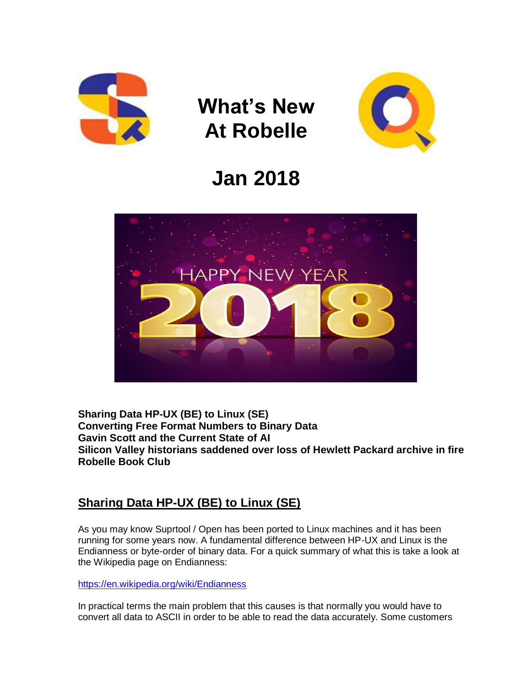

# **What's New At Robelle**



## **Jan 2018**



**Sharing Data HP-UX (BE) to Linux (SE) Converting Free Format Numbers to Binary Data Gavin Scott and the Current State of AI Silicon Valley historians saddened over loss of Hewlett Packard archive in fire Robelle Book Club**

#### **Sharing Data HP-UX (BE) to Linux (SE)**

As you may know Suprtool / Open has been ported to Linux machines and it has been running for some years now. A fundamental difference between HP-UX and Linux is the Endianness or byte-order of binary data. For a quick summary of what this is take a look at the Wikipedia page on Endianness:

<https://en.wikipedia.org/wiki/Endianness>

In practical terms the main problem that this causes is that normally you would have to convert all data to ASCII in order to be able to read the data accurately. Some customers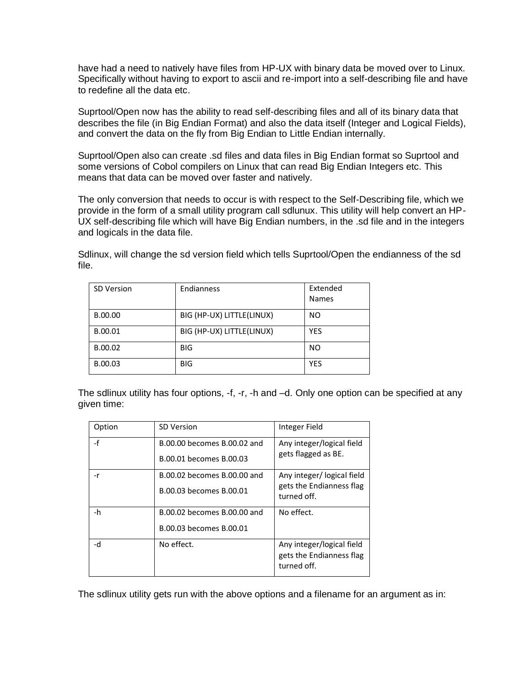have had a need to natively have files from HP-UX with binary data be moved over to Linux. Specifically without having to export to ascii and re-import into a self-describing file and have to redefine all the data etc.

Suprtool/Open now has the ability to read self-describing files and all of its binary data that describes the file (in Big Endian Format) and also the data itself (Integer and Logical Fields), and convert the data on the fly from Big Endian to Little Endian internally.

Suprtool/Open also can create .sd files and data files in Big Endian format so Suprtool and some versions of Cobol compilers on Linux that can read Big Endian Integers etc. This means that data can be moved over faster and natively.

The only conversion that needs to occur is with respect to the Self-Describing file, which we provide in the form of a small utility program call sdlunux. This utility will help convert an HP-UX self-describing file which will have Big Endian numbers, in the .sd file and in the integers and logicals in the data file.

Sdlinux, will change the sd version field which tells Suprtool/Open the endianness of the sd file.

| <b>SD Version</b> | Endianness                | Extended<br><b>Names</b> |
|-------------------|---------------------------|--------------------------|
| B.00.00           | BIG (HP-UX) LITTLE(LINUX) | NO.                      |
| B.00.01           | BIG (HP-UX) LITTLE(LINUX) | <b>YES</b>               |
| B.00.02           | <b>BIG</b>                | N <sub>O</sub>           |
| B.00.03           | <b>BIG</b>                | <b>YES</b>               |

The sdlinux utility has four options, -f, -r, -h and –d. Only one option can be specified at any given time:

| Option | <b>SD Version</b>           | Integer Field                                                        |
|--------|-----------------------------|----------------------------------------------------------------------|
| -f     | B.00.00 becomes B.00.02 and | Any integer/logical field                                            |
|        | B.00.01 becomes B.00.03     | gets flagged as BE.                                                  |
| -r     | B.00.02 becomes B.00.00 and | Any integer/logical field                                            |
|        | B.00.03 becomes B.00.01     | gets the Endianness flag<br>turned off.                              |
| -h     | B.00.02 becomes B.00.00 and | No effect.                                                           |
|        | B.00.03 becomes B.00.01     |                                                                      |
| -d     | No effect.                  | Any integer/logical field<br>gets the Endianness flag<br>turned off. |

The sdlinux utility gets run with the above options and a filename for an argument as in: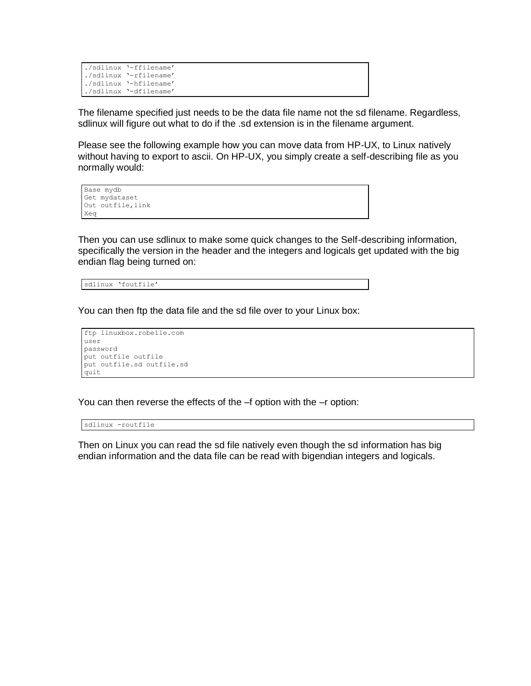| ./sdlinux '-ffilename' |
|------------------------|
| ./sdlinux '-rfilename' |
| ./sdlinux '-hfilename' |
| ./sdlinux '-dfilename' |

The filename specified just needs to be the data file name not the sd filename. Regardless, sdlinux will figure out what to do if the .sd extension is in the filename argument.

Please see the following example how you can move data from HP-UX, to Linux natively without having to export to ascii. On HP-UX, you simply create a self-describing file as you normally would:

```
Base mydb
Get mydataset
Out outfile, link
Xeq
```
Then you can use sdlinux to make some quick changes to the Self-describing information, specifically the version in the header and the integers and logicals get updated with the big endian flag being turned on:

sdlinux 'foutfile'

You can then ftp the data file and the sd file over to your Linux box:

```
ftp linuxbox.robelle.com
user
password
put outfile outfile
put outfile.sd outfile.sd
quit
```
You can then reverse the effects of the –f option with the –r option:

sdlinux -routfile

Then on Linux you can read the sd file natively even though the sd information has big endian information and the data file can be read with bigendian integers and logicals.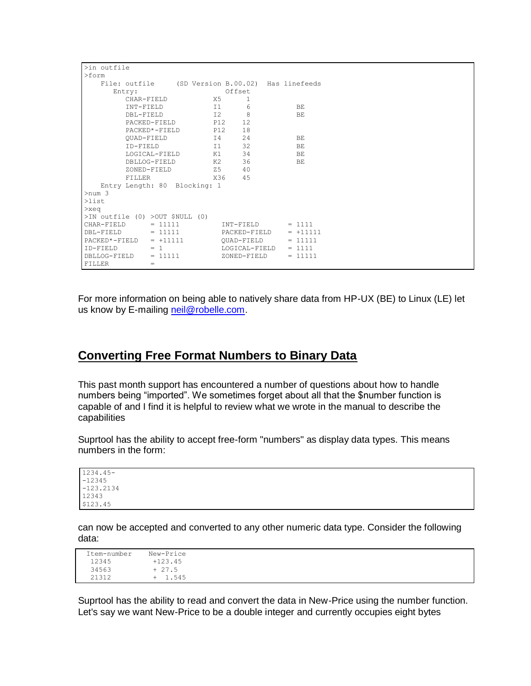| >in outfile   |                                                  |     |                   |            |
|---------------|--------------------------------------------------|-----|-------------------|------------|
| $>$ form      |                                                  |     |                   |            |
|               | File: outfile (SD Version B.00.02) Has linefeeds |     |                   |            |
|               | Entry:                                           |     | Offset            |            |
|               | CHAR-FIELD                                       | X5  | 1                 |            |
|               | INT-FIELD                                        | T1  | 6                 | BE.        |
|               | DBL-FIELD                                        | I2  | 8                 | BE.        |
|               | PACKED-FIELD                                     | P12 | $12 \overline{ }$ |            |
|               | PACKED*-FIELD                                    | P12 | 18                |            |
|               | QUAD-FIELD                                       | I 4 | 24                | BE         |
|               | ID-FIELD                                         | I1  | 32                | ВE         |
|               | LOGICAL-FIELD                                    | K1  | 34                | BE         |
|               | DBLLOG-FIELD                                     | K2  | 36                | BE.        |
|               | ZONED-FIELD                                      | Z5  | 40                |            |
|               | FILLER                                           | X36 | 45                |            |
|               | Entry Length: 80 Blocking: 1                     |     |                   |            |
| $>$ num 3     |                                                  |     |                   |            |
| $>$ list      |                                                  |     |                   |            |
| $>$ xeq       |                                                  |     |                   |            |
|               | $>IN$ outfile (0) $>OUT$ \$NULL (0)              |     |                   |            |
| CHAR-FIELD    | $= 11111$                                        |     | INT-FIELD         | $= 1111$   |
| DBL-FIELD     | $= 11111$                                        |     | PACKED-FIELD      | $= +11111$ |
| PACKED*-FIELD | $= +11111$                                       |     | OUAD-FIELD        | $= 11111$  |
| ID-FIELD      | $= 1$                                            |     | LOGICAL-FIELD     | $= 1111$   |
| DBLLOG-FIELD  | $= 11111$                                        |     | ZONED-FIELD       | $= 11111$  |
| FILLER        | $=$                                              |     |                   |            |

For more information on being able to natively share data from HP-UX (BE) to Linux (LE) let us know by E-mailing [neil@robelle.com.](mailto:neil@robelle.com)

#### **Converting Free Format Numbers to Binary Data**

This past month support has encountered a number of questions about how to handle numbers being "imported". We sometimes forget about all that the \$number function is capable of and I find it is helpful to review what we wrote in the manual to describe the capabilities

Suprtool has the ability to accept free-form "numbers" as display data types. This means numbers in the form:

1234.45- -12345 -123.2134 12343 \$123.45

can now be accepted and converted to any other numeric data type. Consider the following data:

| Item-number | New-Price              |
|-------------|------------------------|
| 12345       | $+123.45$              |
| 34563       | $+27.5$                |
| 21312       | 1.545<br>$\rightarrow$ |

Suprtool has the ability to read and convert the data in New-Price using the number function. Let's say we want New-Price to be a double integer and currently occupies eight bytes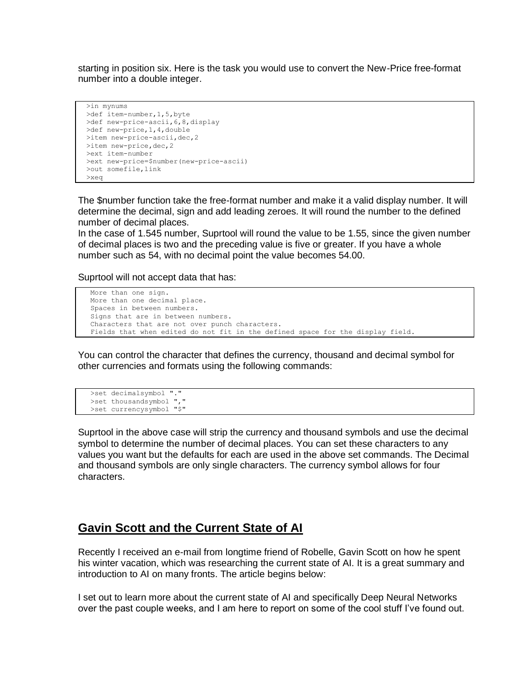starting in position six. Here is the task you would use to convert the New-Price free-format number into a double integer.

```
 >in mynums
 >def item-number,1,5,byte
 >def new-price-ascii,6,8,display
 >def new-price,1,4,double
>item new-price-ascii, dec, 2
>item new-price, dec, 2
 >ext item-number
 >ext new-price=$number(new-price-ascii)
 >out somefile,link
 >xeq
```
The \$number function take the free-format number and make it a valid display number. It will determine the decimal, sign and add leading zeroes. It will round the number to the defined number of decimal places.

In the case of 1.545 number, Suprtool will round the value to be 1.55, since the given number of decimal places is two and the preceding value is five or greater. If you have a whole number such as 54, with no decimal point the value becomes 54.00.

Suprtool will not accept data that has:

```
 More than one sign.
 More than one decimal place.
 Spaces in between numbers.
Signs that are in between numbers.
 Characters that are not over punch characters.
 Fields that when edited do not fit in the defined space for the display field.
```
You can control the character that defines the currency, thousand and decimal symbol for other currencies and formats using the following commands:

```
 >set decimalsymbol "."
>set thousandsymbol ", "
 >set currencysymbol "$"
```
Suprtool in the above case will strip the currency and thousand symbols and use the decimal symbol to determine the number of decimal places. You can set these characters to any values you want but the defaults for each are used in the above set commands. The Decimal and thousand symbols are only single characters. The currency symbol allows for four characters.

#### **Gavin Scott and the Current State of AI**

Recently I received an e-mail from longtime friend of Robelle, Gavin Scott on how he spent his winter vacation, which was researching the current state of AI. It is a great summary and introduction to AI on many fronts. The article begins below:

I set out to learn more about the current state of AI and specifically Deep Neural Networks over the past couple weeks, and I am here to report on some of the cool stuff I've found out.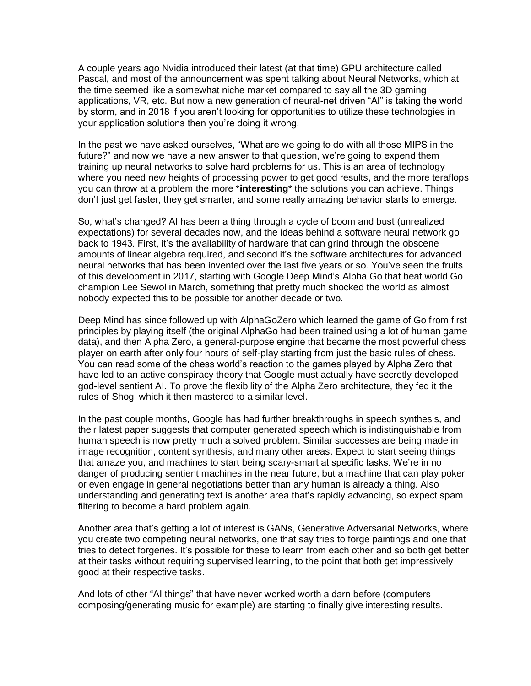A couple years ago Nvidia introduced their latest (at that time) GPU architecture called Pascal, and most of the announcement was spent talking about Neural Networks, which at the time seemed like a somewhat niche market compared to say all the 3D gaming applications, VR, etc. But now a new generation of neural-net driven "AI" is taking the world by storm, and in 2018 if you aren't looking for opportunities to utilize these technologies in your application solutions then you're doing it wrong.

In the past we have asked ourselves, "What are we going to do with all those MIPS in the future?" and now we have a new answer to that question, we're going to expend them training up neural networks to solve hard problems for us. This is an area of technology where you need new heights of processing power to get good results, and the more teraflops you can throw at a problem the more \***interesting**\* the solutions you can achieve. Things don't just get faster, they get smarter, and some really amazing behavior starts to emerge.

So, what's changed? AI has been a thing through a cycle of boom and bust (unrealized expectations) for several decades now, and the ideas behind a software neural network go back to 1943. First, it's the availability of hardware that can grind through the obscene amounts of linear algebra required, and second it's the software architectures for advanced neural networks that has been invented over the last five years or so. You've seen the fruits of this development in 2017, starting with Google Deep Mind's Alpha Go that beat world Go champion Lee Sewol in March, something that pretty much shocked the world as almost nobody expected this to be possible for another decade or two.

Deep Mind has since followed up with AlphaGoZero which learned the game of Go from first principles by playing itself (the original AlphaGo had been trained using a lot of human game data), and then Alpha Zero, a general-purpose engine that became the most powerful chess player on earth after only four hours of self-play starting from just the basic rules of chess. You can read some of the chess world's reaction to the games played by Alpha Zero that have led to an active conspiracy theory that Google must actually have secretly developed god-level sentient AI. To prove the flexibility of the Alpha Zero architecture, they fed it the rules of Shogi which it then mastered to a similar level.

In the past couple months, Google has had further breakthroughs in speech synthesis, and their latest paper suggests that computer generated speech which is indistinguishable from human speech is now pretty much a solved problem. Similar successes are being made in image recognition, content synthesis, and many other areas. Expect to start seeing things that amaze you, and machines to start being scary-smart at specific tasks. We're in no danger of producing sentient machines in the near future, but a machine that can play poker or even engage in general negotiations better than any human is already a thing. Also understanding and generating text is another area that's rapidly advancing, so expect spam filtering to become a hard problem again.

Another area that's getting a lot of interest is GANs, Generative Adversarial Networks, where you create two competing neural networks, one that say tries to forge paintings and one that tries to detect forgeries. It's possible for these to learn from each other and so both get better at their tasks without requiring supervised learning, to the point that both get impressively good at their respective tasks.

And lots of other "AI things" that have never worked worth a darn before (computers composing/generating music for example) are starting to finally give interesting results.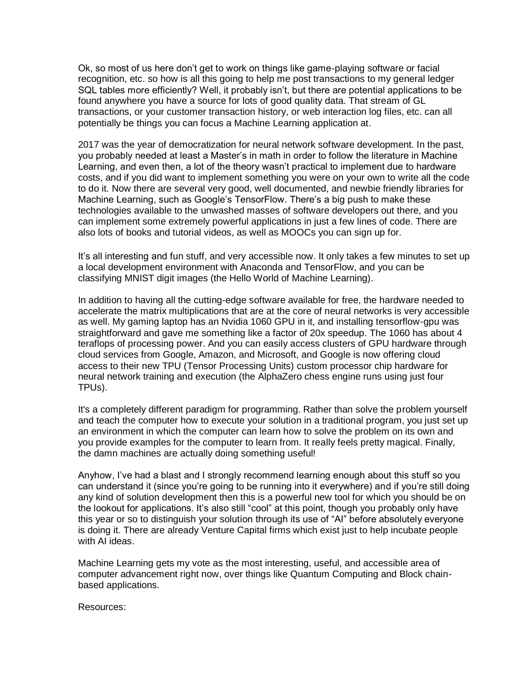Ok, so most of us here don't get to work on things like game-playing software or facial recognition, etc. so how is all this going to help me post transactions to my general ledger SQL tables more efficiently? Well, it probably isn't, but there are potential applications to be found anywhere you have a source for lots of good quality data. That stream of GL transactions, or your customer transaction history, or web interaction log files, etc. can all potentially be things you can focus a Machine Learning application at.

2017 was the year of democratization for neural network software development. In the past, you probably needed at least a Master's in math in order to follow the literature in Machine Learning, and even then, a lot of the theory wasn't practical to implement due to hardware costs, and if you did want to implement something you were on your own to write all the code to do it. Now there are several very good, well documented, and newbie friendly libraries for Machine Learning, such as Google's TensorFlow. There's a big push to make these technologies available to the unwashed masses of software developers out there, and you can implement some extremely powerful applications in just a few lines of code. There are also lots of books and tutorial videos, as well as MOOCs you can sign up for.

It's all interesting and fun stuff, and very accessible now. It only takes a few minutes to set up a local development environment with Anaconda and TensorFlow, and you can be classifying MNIST digit images (the Hello World of Machine Learning).

In addition to having all the cutting-edge software available for free, the hardware needed to accelerate the matrix multiplications that are at the core of neural networks is very accessible as well. My gaming laptop has an Nvidia 1060 GPU in it, and installing tensorflow-gpu was straightforward and gave me something like a factor of 20x speedup. The 1060 has about 4 teraflops of processing power. And you can easily access clusters of GPU hardware through cloud services from Google, Amazon, and Microsoft, and Google is now offering cloud access to their new TPU (Tensor Processing Units) custom processor chip hardware for neural network training and execution (the AlphaZero chess engine runs using just four TPUs).

It's a completely different paradigm for programming. Rather than solve the problem yourself and teach the computer how to execute your solution in a traditional program, you just set up an environment in which the computer can learn how to solve the problem on its own and you provide examples for the computer to learn from. It really feels pretty magical. Finally, the damn machines are actually doing something useful!

Anyhow, I've had a blast and I strongly recommend learning enough about this stuff so you can understand it (since you're going to be running into it everywhere) and if you're still doing any kind of solution development then this is a powerful new tool for which you should be on the lookout for applications. It's also still "cool" at this point, though you probably only have this year or so to distinguish your solution through its use of "AI" before absolutely everyone is doing it. There are already Venture Capital firms which exist just to help incubate people with AI ideas.

Machine Learning gets my vote as the most interesting, useful, and accessible area of computer advancement right now, over things like Quantum Computing and Block chainbased applications.

Resources: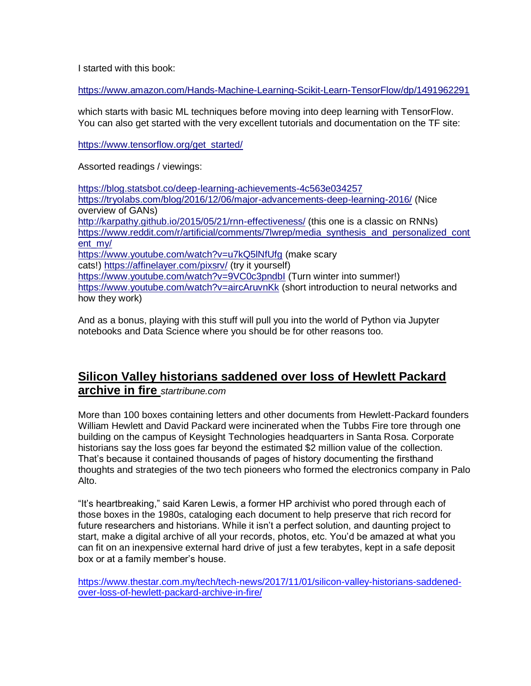I started with this book:

<https://www.amazon.com/Hands-Machine-Learning-Scikit-Learn-TensorFlow/dp/1491962291>

which starts with basic ML techniques before moving into deep learning with TensorFlow. You can also get started with the very excellent tutorials and documentation on the TF site:

[https://www.tensorflow.org/get\\_started/](https://www.tensorflow.org/get_started/)

Assorted readings / viewings:

<https://blog.statsbot.co/deep-learning-achievements-4c563e034257> <https://tryolabs.com/blog/2016/12/06/major-advancements-deep-learning-2016/> (Nice overview of GANs) <http://karpathy.github.io/2015/05/21/rnn-effectiveness/> (this one is a classic on RNNs) [https://www.reddit.com/r/artificial/comments/7lwrep/media\\_synthesis\\_and\\_personalized\\_cont](https://www.reddit.com/r/artificial/comments/7lwrep/media_synthesis_and_personalized_content_my/) [ent\\_my/](https://www.reddit.com/r/artificial/comments/7lwrep/media_synthesis_and_personalized_content_my/) <https://www.youtube.com/watch?v=u7kQ5lNfUfg> (make scary cats!) <https://affinelayer.com/pixsrv/> (try it yourself) <https://www.youtube.com/watch?v=9VC0c3pndbI> (Turn winter into summer!) <https://www.youtube.com/watch?v=aircAruvnKk> (short introduction to neural networks and how they work)

And as a bonus, playing with this stuff will pull you into the world of Python via Jupyter notebooks and Data Science where you should be for other reasons too.

#### **Silicon Valley historians saddened over loss of Hewlett Packard archive in fire** *startribune.com*

More than 100 boxes containing letters and other documents from Hewlett-Packard founders William Hewlett and David Packard were incinerated when the Tubbs Fire tore through one building on the campus of Keysight Technologies headquarters in Santa Rosa. Corporate historians say the loss goes far beyond the estimated \$2 million value of the collection. That's because it contained thousands of pages of history documenting the firsthand thoughts and strategies of the two tech pioneers who formed the electronics company in Palo Alto.

"It's heartbreaking," said Karen Lewis, a former HP archivist who pored through each of those boxes in the 1980s, cataloging each document to help preserve that rich record for future researchers and historians. While it isn't a perfect solution, and daunting project to start, make a digital archive of all your records, photos, etc. You'd be amazed at what you can fit on an inexpensive external hard drive of just a few terabytes, kept in a safe deposit box or at a family member's house.

[https://www.thestar.com.my/tech/tech-news/2017/11/01/silicon-valley-historians-saddened](https://www.thestar.com.my/tech/tech-news/2017/11/01/silicon-valley-historians-saddened-over-loss-of-hewlett-packard-archive-in-fire/)[over-loss-of-hewlett-packard-archive-in-fire/](https://www.thestar.com.my/tech/tech-news/2017/11/01/silicon-valley-historians-saddened-over-loss-of-hewlett-packard-archive-in-fire/)